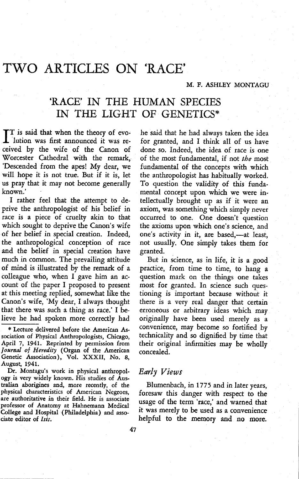# TWO ARTICLES ON `RACE'

#### M. F. ASHLEY MONTAGU

### `RACE' IN THE HUMAN SPECIES IN THE LIGHT OF GENETICS\*

I is said that when the theory or evo-<br>lution was first announced it was re lution was first announced it was received by the wife of the Canon of Worcester Cathedral with the remark, `Descended from the apes! My dear, we will hope it is not true . But if it is, let us pray that it may not become generally known.'

I rather feel that the attempt to deprive the anthropologist of his belief in race is a piece of cruelty akin to that which sought to deprive the Canon's wife of her belief in special creation. Indeed, the anthropological conception of race and the belief in special creation have much in common. The prevailing attitude of mind is illustrated by the remark of a colleague who, when I gave him an account of the paper I proposed to present at this meeting replied, somewhat like the Canon's wife, 'My dear, I always thought that there was such a thing as race.' I believe he had spoken more correctly had

\* Lecture delivered before the American Association of Physical Anthropologists, Chicago, April 7, 1941. Reprinted by permission from Journal of Heredity (Organ of the American Genetic Association), Vol. XXXII, No. 8, August, 1941 .

Dr. Montagu's work in physical anthropology is very widely known. His studies of Australian aborigines and, more recently, of the physical characteristics of American Negroes, are authoritative in their field. He is associate professor of Anatomy at Hahnemann Medical College and Hospital (Philadelphia) and associate editor of Isis.

he said that he had always taken the idea for granted, and I think all of us have done so. Indeed, the idea of race is one of the most fundamental, if not the most fundamental of the concepts with which the anthropologist has habitually worked. To question the validity of this fundamental concept upon which we were intellectually brought up as if it were an axiom, was something which simply never occurred to one. One doesn't question the axioms upon which one's science, and one's activity in it, are based,—at least, not usually. One simply takes them for granted .

But in science, as in life, it is a good practice, from time to time, to hang a question mark on the things one takes most for granted. In science such questioning is important because without it there is a very real danger that certain erroneous or arbitrary ideas which may originally have been used merely as a convenience, may become so fortified by technicality and so dignified by time that their original infirmities may be wholly concealed.

#### Early Views

Blumenbach, in 1775 and in later years, foresaw this danger with respect to the usage of the term 'race,' and warned that it was merely to be used as a convenience helpful to the memory and no more.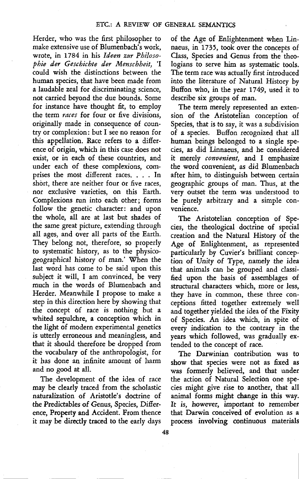Herder, who was the first philosopher to make extensive use of Blumenbach's work, wrote, in 1784 in his Ideen zur Philosophie der Geschichte der Menschheit, `I could wish the distinctions between the human species, that have been made from a laudable zeal for discriminating science, not carried beyond the due bounds. Some for instance have thought fit, to employ the term races for four or five divisions, originally made in consequence of country or complexion : but I see no reason for this appellation. Race refers to a difference of origin, which in this case does not exist, or in each of these countries, and under each of these complexions, comprises the most different races . . . . In short, there are neither four or five races, nor exclusive varieties, on this Earth. Complexions run into each other ; forms follow the genetic character: and upon the whole, all are at last but shades of the same great picture, extending through all ages, and over all parts of the Earth. They belong not, therefore, so properly to systematic history, as to the physicogeographical history of man.' When the last word has come to be said upon this subject it will, I am convinced, be very much in the words of Blumenbach and Herder. Meanwhile I propose to make a step in this direction here by showing that the concept of race is nothing but a whited sepulchre, a conception which in the light of modern experimental genetics is utterly erroneous and meaningless, and that it should therefore be dropped from the vocabulary of the anthropologist, for it has done an infinite amount of harm and no good at all.

The development of the idea of race may be clearly traced from the scholastic naturalization of Aristotle's doctrine of the Predictables of Genus, Species, Difference, Property and Accident. From thence it may be directly traced to the early days of the Age of Enlightenment when Linnaeus, in 1735, took over the concepts of Class, Species and Genus from the theologians to serve him as systematic tools. The term race was actually first introduced into the literature of Natural History by Buffon who, in the year 1749, used it to describe six groups of man.

The term merely represented an extension of the Aristotelian conception of Species, that is to say, it was a subdivision of a species. Buffon recognized that all human beings belonged to a single species, as did Linnaeus, and he considered it merely convenient, and I emphasize the word convenient, as did Blumenbach after him, to distinguish between certain geographic groups of man. Thus, at the very outset the term was understood to be purely arbitrary and a simple convenience.

The Aristotelian conception of Species, the theological doctrine of special creation and the Natural History of the Age of Enlightenment, as represented particularly by Cuvier's brilliant conception of Unity of Type, namely the idea that animals can be grouped and classified upon the basis of assemblages of structural characters which, more or less, they have in common, these three conceptions fitted together extremely well and together yielded the idea of the Fixity of Species. An idea which, in spite of every indication to the contrary in the years which followed, was gradually extended to the concept of race.

The Darwinian contribution was to show that species were not as fixed as was formerly believed, and that under the action of Natural Selection one species might give rise to another, that all animal forms might change in this way. It is, however, important to remember that Darwin conceived of evolution as a process involving continuous materials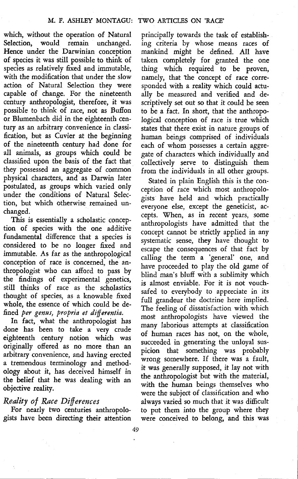which, without the operation of Natural Selection, would remain unchanged. Hence under the Darwinian conception of species it was still possible to think of species as relatively fixed and immutable, with the modification that under the slow action of Natural Selection they were capable of change. For the nineteenth century anthropologist, therefore, it was possible to think of race, not as Buffon or Blumenbach did in the eighteenth century as an arbitrary convenience in classification, but as Cuvier at the beginning of the nineteenth century had done for all animals, as groups which could be classified upon the basis of the fact that they possessed an aggregate of common physical characters, and as Darwin later postulated, as groups which varied only under the conditions of Natural Selection, but which otherwise remained unchanged.

This is essentially a scholastic conception of species with the one additive fundamental difference that a species is considered to be no longer fixed and immutable. As far as the anthropological conception of race is concerned, the anthropologist who can afford to pass by the findings of experimental genetics, still thinks of race as the scholastics thought of species, as a knowable fixed whole, the essence of which could be defined per genus, propria et differentia.

In fact, what the anthropologist has done has been to take a very crude eighteenth century notion which was originally offered as no more than an arbitrary convenience, and having erected a tremendous terminology and methodology about it, has deceived himself in the belief that he was dealing with an objective reality.

#### Reality of Race Differences

For nearly two centuries anthropologists have been directing their attention principally towards the task of establishing criteria by whose means races of mankind might be defined. All have taken completely for granted the one thing which required to be proven, namely, that 'the concept of race corresponded with a reality which could actually be measured and verified and descriptively set out so that it could be seen to be a fact. In short, that the anthropological conception of race is true which states that there exist in nature groups of human beings comprised of individuals each of whom possesses a certain aggregate of characters which individually and collectively serve to distinguish them from the individuals in all other groups.

Stated in plain English this is the conception of race which most anthropologists have held and which practically everyone else, except the geneticist, accepts. When, as in recent years, some anthropologists have admitted that the concept cannot be strictly applied in any systematic sense, they have thought to escape the consequences of that fact by calling the term a 'general' one, and have proceeded to play the old game of blind man's bluff with a sublimity which is almost enviable. For it is not vouchsafed to everybody to appreciate in its full grandeur the doctrine here implied. The feeling of dissatisfaction with which most anthropologists have viewed the many laborious attempts at classification of human races has not, on the whole, succeeded in generating the unloyal suspicion that something was probably wrong somewhere. If there was a fault, it was generally supposed, it lay not with the anthropologist but with the material, with the human beings themselves who were the subject of classification and who always varied so much that it was difficult to put them into the group where they were conceived to belong, and this was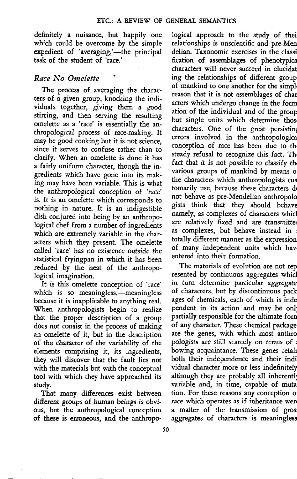definitely a nuisance, but happily one which could be overcome by the simple expedient of 'averaging,'-the principal task of the student of 'race .'

#### Race No Omelette

The process of averaging the characters of a given group, knocking the individuals together, giving them a good stirring, and then serving the resulting omelette as a 'race' is essentially the anthropological process of race-making. It may be good cooking but it is not science, since it serves to confuse rather than to clarify. When an omelette is done it has a fairly uniform character, though the ingredients which have gone into its making may have been variable. This is what the anthropological conception of 'race' is . It is an omelette which corresponds to nothing in nature. It is an indigestible dish conjured into being by an anthropological chef from a number of ingredients which are extremely variable in the characters which they present. The omelette called 'race' has no existence outside the statistical fryingpan in which it has been reduced by the heat of the anthropological imagination.

It is this omelette conception of 'race' which is so meaningless,—meaningless because it is inapplicable to anything real. When anthropologists begin to realize that the proper description of a group does not consist in the process of making an omelette of it, but in the description of the character of the variability of the elements comprising it, its ingredients, they will discover that the fault lies not with the materials but with the conceptual tool with which they have approached its study.

That many differences exist between different groups of human beings is obvious, but the anthropological conception of these is erroneous, and the anthropo-

logical approach to the study of thei relationships is unscientific and pre-Men delian. Taxonomic exercises in the classi fication of assemblages of phenotypica characters will never succeed in elucidat ing the relationships of different group of mankind to one another for the simple reason that it is not assemblages of char acters which undergo change in the form ation of the individual and of the group but single units which determine thos characters. One of the great persisting errors involved in the anthropolo conception of race has been due to th steady refusal to recognize this fact. Th fact that it is not possible to classify the various groups of mankind by means o the characters which anthropologists cus tomarily use, because these characters do not behave as pre-Mendelian anthropolo gists think that they should behave namely, as complexes of characters whirl are relatively fixed and are transmitte< as complexes, but behave instead in totally different manner as the expression of many independent units which have entered into their formation.

The materials of evolution are not rep resented by continuous aggregates which in turn determine particular aggregate of characters, but by discontinuous pack ages of chemicals, each of which is inde pendent in its action and may be only partially responsible for the ultimate forn of any character. These chemical package; are the genes, with which most anthro pologists are still scarcely on terms of ; bowing acquaintance. These genes retain both their independence and their indi vidual character more or less indefinitely although they are probably all inherently variable and, in time, capable of muta tion. For these reasons any conception of race which operates as if inheritance were a matter of the transmission of gros aggregates of characters is meaningless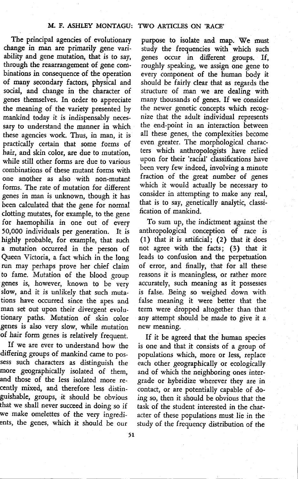The principal agencies of evolutionary change in man are primarily gene variability and gene mutation, that is to say, through the reaarrangement of gene combinations in consequence of the operation of many secondary factors, physical and social, and change in the character of genes themselves. In order to appreciate the meaning of the variety presented by mankind today it is indispensably necessary to understand the manner in which these agencies work. Thus, in man, it is practically certain that some forms of hair, and skin color, are due to mutation, while still other forms are due to various combinations of these mutant forms with one another as also with non-mutant forms. The rate of mutation for different genes in man is unknown, though it has been calculated that the gene for normal clotting mutates, for example, to the gene for haemophilia in one out of every 50,000 individuals per generation. It is highly probable, for example, that such a mutation occurred in the person of Queen Victoria, a fact which in the long run may perhaps prove her chief claim to fame. Mutation of the blood group genes is, however, known to be very slow, and it is unlikely that such mutations have occurred since the apes and man set out upon their divergent evolutionary paths. Mutation of skin color genes is also very slow, while mutation of hair form genes is relatively frequent.

If we are ever to understand how the differing groups of mankind came to possess such characters as distinguish the more geographically isolated of them, and those of the less isolated more recently mixed, and therefore less distinguishable, groups, it should be obvious that we shall never succeed in doing so if we make omelettes of the very ingredients, the genes, which it should be our

purpose to isolate and map. We must study the frequencies with which such genes occur in different groups. If, roughly speaking, we assign one gene to every component of the human body it should be fairly clear that as regards the structure of man we are dealing with many thousands of genes. If we consider the newer genetic concepts which recognize that the adult individual represents the end-point in an interaction between all these genes, the complexities become even greater. The morphological characters which anthropologists have relied upon for their 'racial' classifications have been very few indeed, involving a minute fraction of the great number of genes which it would actually be necessary to consider in attempting to make any real, that is to say, genetically analytic, classification of mankind.

To sum up, the indictment against the anthropological conception of race is (1) that it is artificial; (2) that it does not agree with the facts; (3) that it leads to confusion and the perpetuation of error, and finally, that for all these reasons it is meaningless, or rather more accurately, such meaning as it possesses is false. Being so weighed down with false meaning it were better that the term were dropped altogether than that any attempt should be made to give it a new meaning.

If it be agreed that the human species is one and that it consists of a group of populations which, more or less, replace each other geographically or ecologically and of which the neighboring ones intergrade or hybridize wherever they are in contact, or are potentially capable of doing so, then it should be obvious that the task of the student interested in the character of these populations must lie in the study of the frequency distribution of the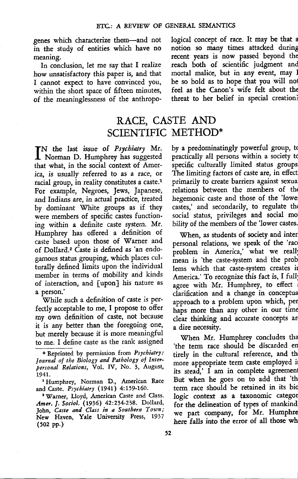genes which characterize them-and not in the study of entities which have no meaning.

In conclusion, let me say that I realize how unsatisfactory this paper is, and that I cannot expect to have convinced you, within the short space of fifteen minutes, of the meaninglessness of the anthropological concept of race. It may be that a notion so many times attacked during recent years is now passed beyond the reach both of scientific judgment and mortal malice, but in any event, may 1 be so bold as to hope that you will not feel as the Canon's wife felt about the threat to her belief in special creation:

## RACE, CASTE AND SCIENTIFIC METHOD\*

 $\mathbf{I}$ N the last issue of Psychiatry Mr. Norman D. Humphrey has suggested that what, in the social context of America, is usually referred to as a race, or racial group, in reality constitutes a caste.<sup>1</sup> For example, Negroes, Jews, Japanese, and Indians are, in actual practice, treated by dominant White groups as if they were members of specific castes functioning within a definite caste system. Mr. Humphrey has offered a definition of caste based upon those of Warner and of Dollard.<sup>2</sup> Caste is defined as 'an endogamous status grouping, which places culturally defined limits upon the individual member in terms of mobility and kinds of interaction, and [upon] his nature as a person.'

While such a definition of caste is perfectly acceptable to me, I propose to offer my own definition of caste, not because it is any better than the foregoing one, but merely because it is more meaningful to me. I define caste as the rank assigned by a predominatingly powerful group, to practically all persons within a society tc specific culturally limited status groups The limiting factors of caste are, in effect primarily to create barriers against sexua relations between the members of the hegemonic caste and those of the 'lowe castes,' and secondarily, to regulate the social status, privileges and social mo bility of the members of the 'lower castes.

When, as students of society and inter personal relations, we speak of the 'rao problem in America,' what we reall, mean is 'the caste-system and the prob lems which that caste-system creates it America.' To recognize this fact is, I full, agree with Mr. Humphrey, to effect clarification and a change in conceptua approach to a problem upon which, per haps more than any other in our time clear thinking and accurate concepts ar a dire necessity.

When Mr. Humphrey concludes tha 'the term race should be discarded en tirely in the cultural reference, and th more appropriate term caste employed i its stead,' I am in complete agreement But when he goes on to add that 'th term race should be retained in its bic logic context as a taxonomic categor for the delineation of types of mankind, we part company, for Mr. Humphre here falls into the error of all those wh

<sup>\*</sup> Reprinted by permission from Psychiatry: journal of the Biology and Pathology of Interpersonal Relations, Vol. IV, No. 3, August, 1941.

<sup>&</sup>lt;sup>1</sup> Humphrey, Norman D., American Race and Caste. Psychiatry (1941) 4:159-160.

<sup>&#</sup>x27; Warner, Lloyd, American Caste and Class . Amer. J. Sociol. (1936) 42:234-238. Dollard, John, Caste and Class in a Southern Town; New Haven, Yale University Press, 1937 (502 pp.)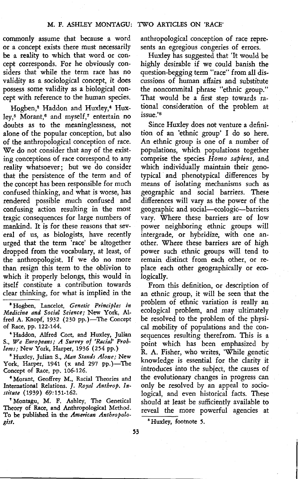commonly assume that because a word or a concept exists there must necessarily be a reality to which that word or concept corresponds. For he obviously considers that while the term race has no validity as a sociological concept, it does possess some validity as a biological concept with reference to the human species.

Hogben,<sup>8</sup> Haddon and Huxley,<sup>4</sup> Huxley,<sup>5</sup> Morant,<sup>6</sup> and myself,<sup>7</sup> entertain no doubts as to the meaninglessness, not alone of the popular conception, but also of the anthropological conception of race . We do not consider that any of the existing conceptions of race correspond to any reality whatsoever; but we do consider that the persistence of the term and of the concept has been responsible for much confused thinking, and what is worse, has rendered possible much confused and confusing action resulting in the most tragic consequences for large numbers of mankind. It is for these reasons that several of us, as biologists, have recently urged that the term 'race' be altogether dropped from the vocabulary, at least, of the anthropologist. If we do no more than resign this term to the oblivion to which it properly belongs, this would in itself constitute a contribution towards clear thinking, for what is implied in the

<sup>8</sup> Huxley, Julian S., Man Stands Alone; New York, Harper,  $1941$  (x and  $297$  pp.)-The Concept of Race, pp. 106-126.

Morant, Geoffrey M., Racial Theories and International Relations. J. Royal Anthrop. Institute (1939) 69:151-162.

' Montagu, M. F. Ashley, The Genetical Theory of Race, and Anthropological Method. To be published in the American Anthropologist.

anthropological conception of race represents an egregious congeries of errors.

Huxley has suggested that 'It would be highly desirable if we could banish the question-begging term "race" from all discussions of human affairs and substitute the noncommital phrase "ethnic group ." That would be a first step towards rational consideration of the problem at issue .'s

Since Huxley does not venture a definition of an 'ethnic group' I do so here. An ethnic group is one of a number of populations, which populations together comprise the species Homo sapiens, and which individually maintain their genotypical and phenotypical differences by means of isolating mechanisms such as geographic and social barriers. These differences will vary as the power of the geographic and social-ecologic-barriers vary. Where these barriers are of low power neighboring ethnic groups will intergrade, or hybridize, with one another. Where these barriers are of high power such ethnic groups will tend to remain distinct from each other, or replace each other geographically or ecologically.

From this definition, or description of an ethnic group, it will be seen that the problem of ethnic variation is really an ecological problem, and may ultimately be resolved to the problem of the physical mobility of populations and the consequences resulting therefrom. This is a point which has been emphasized by R. A. Fisher, who writes, 'While genetic knowledge is essential for the clarity it introduces into the subject, the causes of the evolutionary changes in progress can only be resolved by an appeal to sociological, and even historical facts. These should at least be sufficiently available to reveal the more powerful agencies at

<sup>&#</sup>x27; Hogben, Lancelot, Genetic Principles in Medicine and Social Science; New York, Alfred A. Knopf,  $1932$  (230 pp.)-The Concept of Race, pp. 122-144.

<sup>`</sup> Haddon, Alfred Cost, and Huxley, Julian S., We Europeans ; A Survey of 'Racial' Problems; New York, Harper, 1936 (254 pp.)

<sup>&#</sup>x27;Huxley, footnote 5 .